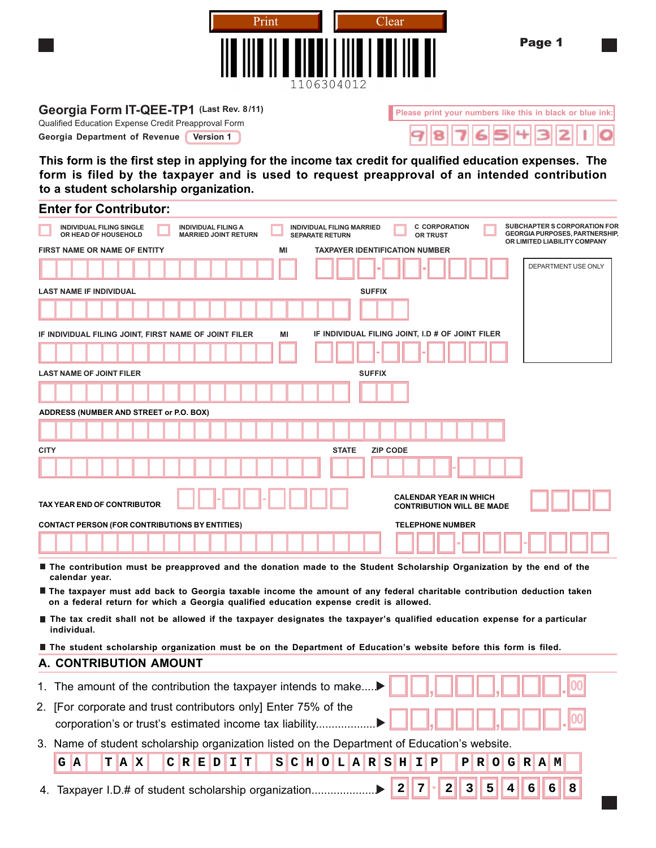

Page 1

### Georgia Form IT-QEE-TP1 (Last Rev. 8/11) **Please print your numbers like this in black or blue ink:**

Qualified Education Expense Credit Preapproval Form

**Georgia Department of Revenue** Version 1

**This form is the first step in applying for the income tax credit for qualified education expenses. The form is filed by the taxpayer and is used to request preapproval of an intended contribution to a student scholarship organization.**

| <b>Enter for Contributor:</b>                                                                                        |                                                                                                                        |                                                                                                              |
|----------------------------------------------------------------------------------------------------------------------|------------------------------------------------------------------------------------------------------------------------|--------------------------------------------------------------------------------------------------------------|
| <b>INDIVIDUAL FILING SINGLE</b><br><b>INDIVIDUAL FILING A</b><br>OR HEAD OF HOUSEHOLD<br><b>MARRIED JOINT RETURN</b> | <b>C CORPORATION</b><br>INDIVIDUAL FILING MARRIED<br><b>SEPARATE RETURN</b><br><b>OR TRUST</b>                         | <b>SUBCHAPTER S CORPORATION FOR</b><br><b>GEORGIA PURPOSES, PARTNERSHIP,</b><br>OR LIMITED LIABILITY COMPANY |
| FIRST NAME OR NAME OF ENTITY                                                                                         | <b>TAXPAYER IDENTIFICATION NUMBER</b><br>ΜI                                                                            |                                                                                                              |
|                                                                                                                      |                                                                                                                        | DEPARTMENT USE ONLY                                                                                          |
| <b>LAST NAME IF INDIVIDUAL</b>                                                                                       | <b>SUFFIX</b>                                                                                                          |                                                                                                              |
|                                                                                                                      |                                                                                                                        |                                                                                                              |
| IF INDIVIDUAL FILING JOINT, FIRST NAME OF JOINT FILER                                                                | ΜI<br>IF INDIVIDUAL FILING JOINT, I.D # OF JOINT FILER                                                                 |                                                                                                              |
|                                                                                                                      |                                                                                                                        |                                                                                                              |
| <b>LAST NAME OF JOINT FILER</b>                                                                                      | <b>SUFFIX</b>                                                                                                          |                                                                                                              |
|                                                                                                                      |                                                                                                                        |                                                                                                              |
| ADDRESS (NUMBER AND STREET or P.O. BOX)                                                                              |                                                                                                                        |                                                                                                              |
|                                                                                                                      |                                                                                                                        |                                                                                                              |
| <b>CITY</b>                                                                                                          | <b>STATE</b><br><b>ZIP CODE</b>                                                                                        |                                                                                                              |
|                                                                                                                      |                                                                                                                        |                                                                                                              |
| <b>TAX YEAR END OF CONTRIBUTOR</b>                                                                                   | <b>CALENDAR YEAR IN WHICH</b><br><b>CONTRIBUTION WILL BE MADE</b>                                                      |                                                                                                              |
| <b>CONTACT PERSON (FOR CONTRIBUTIONS BY ENTITIES)</b>                                                                | <b>TELEPHONE NUMBER</b>                                                                                                |                                                                                                              |
|                                                                                                                      |                                                                                                                        |                                                                                                              |
| calendar year.                                                                                                       | The contribution must be preapproved and the donation made to the Student Scholarship Organization by the end of the   |                                                                                                              |
| on a federal return for which a Georgia qualified education expense credit is allowed.                               | The taxpayer must add back to Georgia taxable income the amount of any federal charitable contribution deduction taken |                                                                                                              |

- The tax credit shall not be allowed if the taxpayer designates the taxpayer's qualified education expense for a particular **individual.**
- The student scholarship organization must be on the Department of Education's website before this form is filed.

#### **A. CONTRIBUTION AMOUNT**

| 1. The amount of the contribution the taxpayer intends to make $\blacktriangleright$ $\ \cdot\ $                                                        |  |  |  |  |  |  |  |
|---------------------------------------------------------------------------------------------------------------------------------------------------------|--|--|--|--|--|--|--|
| 2. [For corporate and trust contributors only] Enter 75% of the<br>corporation's or trust's estimated income tax liability▶  _  _ , _           <br>. . |  |  |  |  |  |  |  |
| 3. Name of student scholarship organization listed on the Department of Education's website.                                                            |  |  |  |  |  |  |  |
| $G$ $A$                                                                                                                                                 |  |  |  |  |  |  |  |
| TAX CREDIT SCHOLARSHIP PROGRAM                                                                                                                          |  |  |  |  |  |  |  |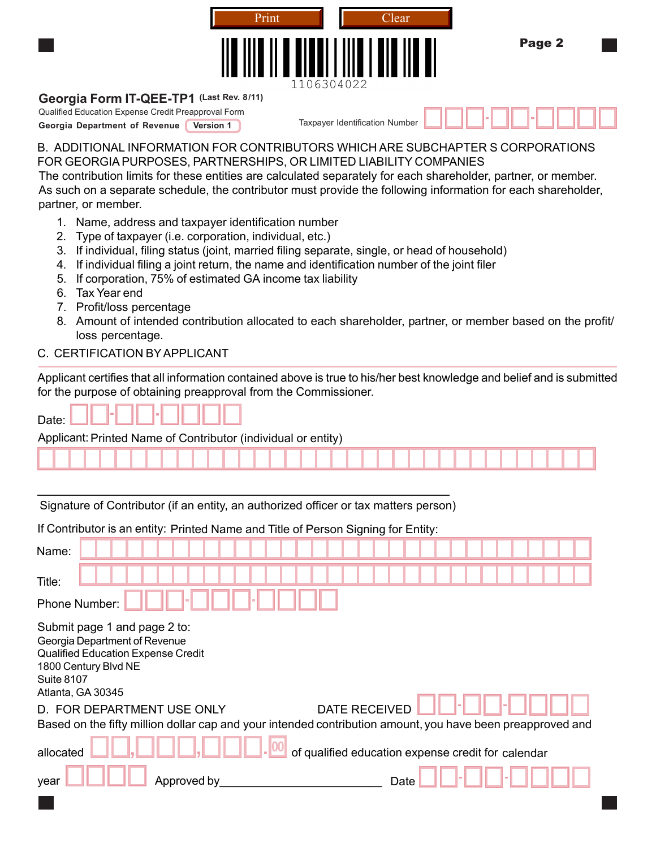| þ.                                                  |                  | Print<br>1106304022 | Clear                          | Page 2 |  |
|-----------------------------------------------------|------------------|---------------------|--------------------------------|--------|--|
| Georgia Form IT-QEE-TP1 (Last Rev. 8/11)            |                  |                     |                                |        |  |
| Qualified Education Expense Credit Preapproval Form |                  |                     |                                | m      |  |
| Georgia Department of Revenue                       | <b>Version 1</b> |                     | Taxpayer Identification Number |        |  |

## B. ADDITIONAL INFORMATION FOR CONTRIBUTORS WHICH ARE SUBCHAPTER S CORPORATIONS FOR GEORGIAPURPOSES, PARTNERSHIPS, OR LIMITED LIABILITY COMPANIES

The contribution limits for these entities are calculated separately for each shareholder, partner, or member. As such on a separate schedule, the contributor must provide the following information for each shareholder, partner, or member.

- 1. Name, address and taxpayer identification number
- 2. Type of taxpayer (i.e. corporation, individual, etc.)
- 3. If individual, filing status (joint, married filing separate, single, or head of household)
- 4. If individual filing a joint return, the name and identification number of the joint filer
- 5. If corporation, 75% of estimated GA income tax liability
- 6. Tax Year end
- 7. Profit/loss percentage
- 8. Amount of intended contribution allocated to each shareholder, partner, or member based on the profit/ loss percentage.

# C. CERTIFICATION BYAPPLICANT

Applicant certifies that all information contained above is true to his/her best knowledge and belief and is submitted for the purpose of obtaining preapproval from the Commissioner.

| Applicant: Printed Name of Contributor (individual or entity) |  |  |  |  |  |  |  |  |   |  |  |  |  |  |  |  |  |
|---------------------------------------------------------------|--|--|--|--|--|--|--|--|---|--|--|--|--|--|--|--|--|
|                                                               |  |  |  |  |  |  |  |  | . |  |  |  |  |  |  |  |  |

Signature of Contributor (if an entity, an authorized officer or tax matters person)

# If Contributor is an entity: Printed Name and Title of Person Signing for Entity:

| Name:                                                                                                                                                                        |                                                    |
|------------------------------------------------------------------------------------------------------------------------------------------------------------------------------|----------------------------------------------------|
| Title:<br>Phone Number:                                                                                                                                                      |                                                    |
| Submit page 1 and page 2 to:<br>Georgia Department of Revenue<br><b>Qualified Education Expense Credit</b><br>1800 Century Blvd NE<br><b>Suite 8107</b><br>Atlanta, GA 30345 |                                                    |
| D. FOR DEPARTMENT USE ONLY                                                                                                                                                   | <b>DATE RECEIVED</b>                               |
| Based on the fifty million dollar cap and your intended contribution amount, you have been preapproved and                                                                   |                                                    |
| allocated                                                                                                                                                                    | of qualified education expense credit for calendar |
| Approved by<br>year                                                                                                                                                          | Date                                               |
|                                                                                                                                                                              |                                                    |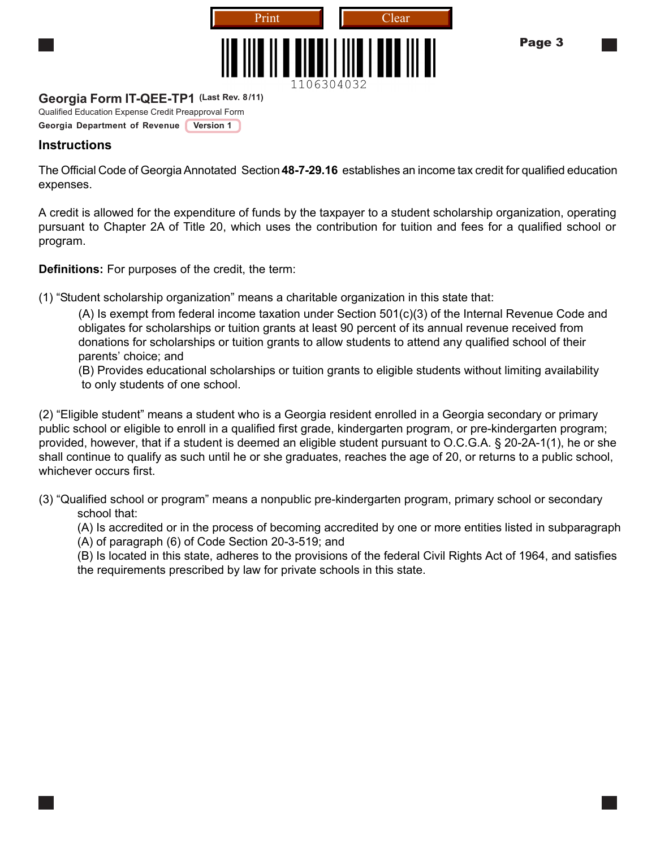

### Page 3

# **Georgia Form IT-QEE-TP1 (Last Rev. 8/11)**

Qualified Education Expense Credit Preapproval Form

**Georgia Department of Revenue** Version 1

# **Instructions**

The Official Code of GeorgiaAnnotated Section**48-7-29.16** establishes an income tax credit for qualified education expenses.

A credit is allowed for the expenditure of funds by the taxpayer to a student scholarship organization, operating pursuant to Chapter 2A of Title 20, which uses the contribution for tuition and fees for a qualified school or program.

**Definitions:** For purposes of the credit, the term:

(1) "Student scholarship organization" means a charitable organization in this state that:

(A) Is exempt from federal income taxation under Section 501(c)(3) of the Internal Revenue Code and obligates for scholarships or tuition grants at least 90 percent of its annual revenue received from donations for scholarships or tuition grants to allow students to attend any qualified school of their parents' choice; and

(B) Provides educational scholarships or tuition grants to eligible students without limiting availability to only students of one school.

(2) "Eligible student" means a student who is a Georgia resident enrolled in a Georgia secondary or primary public school or eligible to enroll in a qualified first grade, kindergarten program, or pre-kindergarten program; provided, however, that if a student is deemed an eligible student pursuant to O.C.G.A. § 20-2A-1(1), he or she shall continue to qualify as such until he or she graduates, reaches the age of 20, or returns to a public school, whichever occurs first.

(3) "Qualified school or program" means a nonpublic pre-kindergarten program, primary school or secondary school that:

(A) Is accredited or in the process of becoming accredited by one or more entities listed in subparagraph

(A) of paragraph (6) of Code Section 20-3-519; and

(B) Is located in this state, adheres to the provisions of the federal Civil Rights Act of 1964, and satisfies the requirements prescribed by law for private schools in this state.